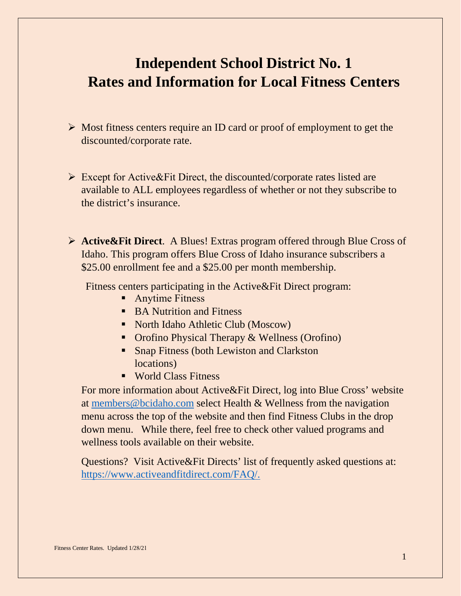# **Independent School District No. 1 Rates and Information for Local Fitness Centers**

- $\triangleright$  Most fitness centers require an ID card or proof of employment to get the discounted/corporate rate.
- $\triangleright$  Except for Active & Fit Direct, the discounted/corporate rates listed are available to ALL employees regardless of whether or not they subscribe to the district's insurance.
- **Active&Fit Direct**. A Blues! Extras program offered through Blue Cross of Idaho. This program offers Blue Cross of Idaho insurance subscribers a \$25.00 enrollment fee and a \$25.00 per month membership.

Fitness centers participating in the Active&Fit Direct program:

- **Anytime Fitness**
- BA Nutrition and Fitness
- North Idaho Athletic Club (Moscow)
- Orofino Physical Therapy & Wellness (Orofino)
- **Snap Fitness (both Lewiston and Clarkston** locations)
- World Class Fitness

For more information about Active&Fit Direct, log into Blue Cross' website at [members@bcidaho.com](mailto:members@bcidaho.com) select Health & Wellness from the navigation menu across the top of the website and then find Fitness Clubs in the drop down menu. While there, feel free to check other valued programs and wellness tools available on their website.

Questions? Visit Active&Fit Directs' list of frequently asked questions at: [https://www.activeandfitdirect.com/FAQ/.](https://www.activeandfitdirect.com/FAQ/)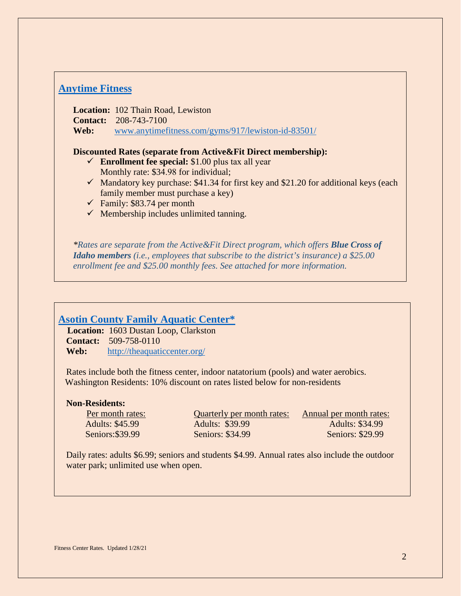## **[Anytime Fitness](https://www.anytimefitness.com/gyms/917/Lewiston-ID-83501/?utm_source=bing&utm_medium=local&utm_campaign=localmaps&utm_content=917)**

**Location:** 102 Thain Road, Lewiston **Contact:** 208-743-7100 **Web:** [www.anytimefitness.com/gyms/917/lewiston-id-83501/](http://www.anytimefitness.com/gyms/917/lewiston-id-83501/)

#### **Discounted Rates (separate from Active&Fit Direct membership):**

- **Enrollment fee special:** \$1.00 plus tax all year Monthly rate: \$34.98 for individual;
- $\checkmark$  Mandatory key purchase: \$41.34 for first key and \$21.20 for additional keys (each family member must purchase a key)
- $\checkmark$  Family: \$83.74 per month
- $\checkmark$  Membership includes unlimited tanning.

*\*Rates are separate from the Active&Fit Direct program, which offers Blue Cross of Idaho members (i.e., employees that subscribe to the district's insurance) a \$25.00 enrollment fee and \$25.00 monthly fees. See attached for more information.*

### **[Asotin County Family Aquatic Center\\*](https://theaquaticcenter.org/)**

 **Location:** 1603 Dustan Loop, Clarkston **Contact:** 509-758-0110 **Web:** <http://theaquaticcenter.org/>

Rates include both the fitness center, indoor natatorium (pools) and water aerobics. Washington Residents: 10% discount on rates listed below for non-residents

#### **Non-Residents:**

Adults: \$45.99 Adults: \$39.99 Adults: \$34.99 Seniors: \$39.99 Seniors: \$34.99 Seniors: \$29.99

Per month rates: Quarterly per month rates: Annual per month rates:

Daily rates: adults \$6.99; seniors and students \$4.99. Annual rates also include the outdoor water park; unlimited use when open.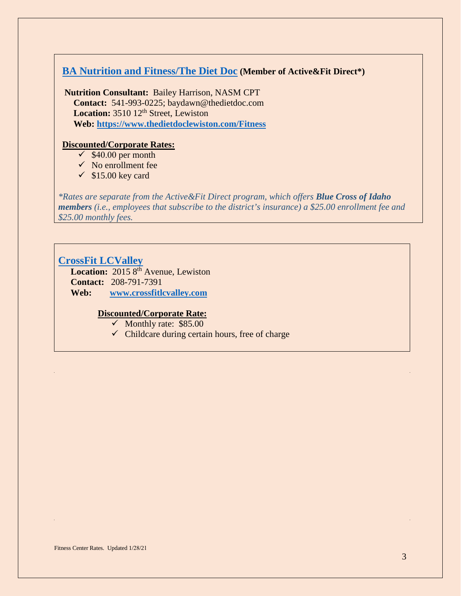## **[BA Nutrition and Fitness/The Diet Doc](http://www.thedietdoclewiston.com/) (Member of Active&Fit Direct\*)**

**Nutrition Consultant:** Bailey Harrison, NASM CPT  **Contact:** 541-993-0225; baydawn@thedietdoc.com Location: 3510 12<sup>th</sup> Street, Lewiston  **Web: <https://www.thedietdoclewiston.com/Fitness>**

#### **Discounted/Corporate Rates:**

- $\checkmark$  \$40.00 per month
- $\checkmark$  No enrollment fee
- $\checkmark$  \$15.00 key card

*\*Rates are separate from the Active&Fit Direct program, which offers Blue Cross of Idaho members (i.e., employees that subscribe to the district's insurance) a \$25.00 enrollment fee and \$25.00 monthly fees.*

## **[CrossFit LCValley](http://crossfitlcvalley.com/)**

Location: 2015 8<sup>th</sup> Avenue, Lewiston **Contact:** 208-791-7391 **Web: [www.crossfitlcvalley.com](http://www.crossfitlcvalley.com/)**

#### **Discounted/Corporate Rate:**

- $\checkmark$  Monthly rate: \$85.00
- $\checkmark$  Childcare during certain hours, free of charge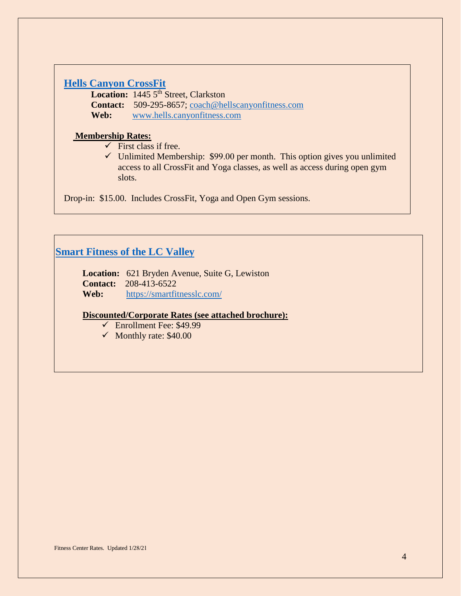## **[Hells Canyon CrossFit](https://www.hellscanyonfitness.com/)**

Location: 1445 5<sup>th</sup> Street, Clarkston **Contact:** 509-295-8657; [coach@hellscanyonfitness.com](mailto:coach@hellscanyonfitness.com) **Web:** [www.hells.canyonfitness.com](http://www.hells.canyonfitness.com/)

#### **Membership Rates:**

- $\checkmark$  First class if free.
- $\checkmark$  Unlimited Membership: \$99.00 per month. This option gives you unlimited access to all CrossFit and Yoga classes, as well as access during open gym slots.

Drop-in: \$15.00. Includes CrossFit, Yoga and Open Gym sessions.

## **Smart Fitness [of the LC Valley](https://smartfitnesslc.com/)**

**Location:** 621 Bryden Avenue, Suite G, Lewiston **Contact:** 208-413-6522 **Web:** <https://smartfitnesslc.com/>

#### **Discounted/Corporate Rates (see attached brochure):**

- $\checkmark$  Enrollment Fee: \$49.99
- $\checkmark$  Monthly rate: \$40.00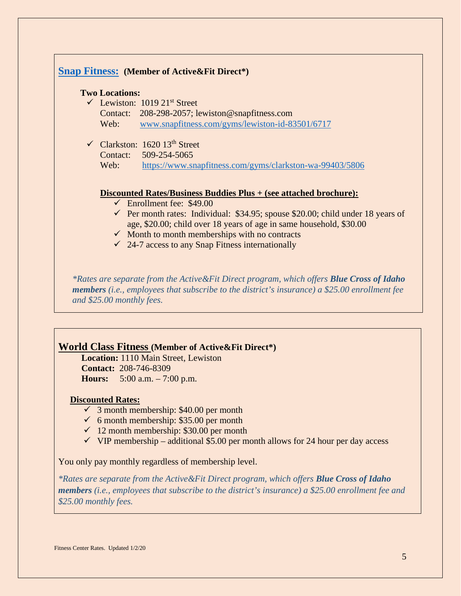

### **World Class Fitness (Member of Active&Fit Direct\*)**

 **Location:** 1110 Main Street, Lewiston  **Contact:** 208-746-8309 **Hours:** 5:00 a.m. – 7:00 p.m.

#### **Discounted Rates:**

- $\checkmark$  3 month membership: \$40.00 per month
- $6$  month membership: \$35.00 per month
- $\checkmark$  12 month membership: \$30.00 per month
- $\checkmark$  VIP membership additional \$5.00 per month allows for 24 hour per day access

You only pay monthly regardless of membership level.

*\*Rates are separate from the Active&Fit Direct program, which offers Blue Cross of Idaho members (i.e., employees that subscribe to the district's insurance) a \$25.00 enrollment fee and \$25.00 monthly fees.*